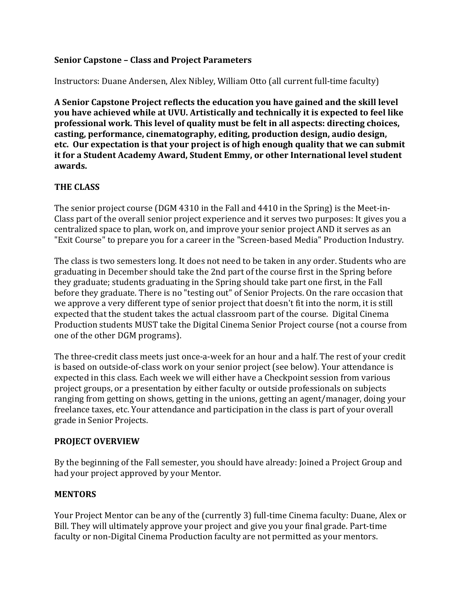### **Senior Capstone – Class and Project Parameters**

Instructors: Duane Andersen, Alex Nibley, William Otto (all current full-time faculty)

 **A Senior Capstone Project reflects the education you have gained and the skill level you have achieved while at UVU. Artistically and technically it is expected to feel like professional work. This level of quality must be felt in all aspects: directing choices, casting, performance, cinematography, editing, production design, audio design,** etc. Our expectation is that your project is of high enough quality that we can submit  **it for a Student Academy Award, Student Emmy, or other International level student awards.**

### **THE CLASS**

 centralized space to plan, work on, and improve your senior project AND it serves as an The senior project course (DGM 4310 in the Fall and  $4410$  in the Spring) is the Meet-in-Class part of the overall senior project experience and it serves two purposes: It gives you a "Exit Course" to prepare you for a career in the "Screen-based Media" Production Industry.

 The class is two semesters long. It does not need to be taken in any order. Students who are graduating in December should take the 2nd part of the course first in the Spring before we approve a very different type of senior project that doesn't fit into the norm, it is still expected that the student takes the actual classroom part of the course. Digital Cinema Production students MUST take the Digital Cinema Senior Project course (not a course from one of the other DGM programs). they graduate; students graduating in the Spring should take part one first, in the Fall before they graduate. There is no "testing out" of Senior Projects. On the rare occasion that

The three-credit class meets just once-a-week for an hour and a half. The rest of your credit expected in this class. Each week we will either have a Checkpoint session from various ranging from getting on shows, getting in the unions, getting an agent/manager, doing your grade in Senior Projects. is based on outside-of-class work on your senior project (see below). Your attendance is project groups, or a presentation by either faculty or outside professionals on subjects freelance taxes, etc. Your attendance and participation in the class is part of your overall

#### **PROJECT OVERVIEW**

By the beginning of the Fall semester, you should have already: Joined a Project Group and had your project approved by your Mentor.

#### **MENTORS**

Your Project Mentor can be any of the (currently 3) full-time Cinema faculty: Duane, Alex or Bill. They will ultimately approve your project and give you your final grade. Part-time faculty or non-Digital Cinema Production faculty are not permitted as your mentors.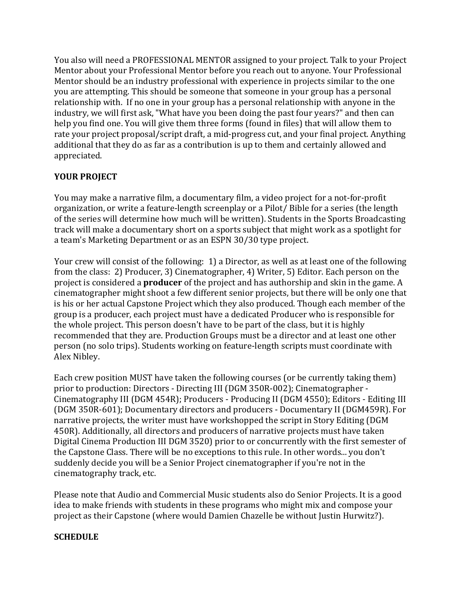You also will need a PROFESSIONAL MENTOR assigned to your project. Talk to your Project Mentor should be an industry professional with experience in projects similar to the one you are attempting. This should be someone that someone in your group has a personal relationship with. If no one in your group has a personal relationship with anyone in the help you find one. You will give them three forms (found in files) that will allow them to rate your project proposal/script draft, a mid-progress cut, and your final project. Anything additional that they do as far as a contribution is up to them and certainly allowed and Mentor about your Professional Mentor before you reach out to anyone. Your Professional industry, we will first ask, "What have you been doing the past four years?" and then can appreciated.

# **YOUR PROJECT**

You may make a narrative film, a documentary film, a video project for a not-for-profit of the series will determine how much will be written). Students in the Sports Broadcasting track will make a documentary short on a sports subject that might work as a spotlight for a team's Marketing Department or as an ESPN 30/30 type project. organization, or write a feature-length screenplay or a Pilot/ Bible for a series (the length

Your crew will consist of the following: 1) a Director, as well as at least one of the following from the class: 2) Producer, 3) Cinematographer, 4) Writer, 5) Editor. Each person on the project is considered a **producer** of the project and has authorship and skin in the game. A cinematographer might shoot a few different senior projects, but there will be only one that is his or her actual Capstone Project which they also produced. Though each member of the group is a producer, each project must have a dedicated Producer who is responsible for recommended that they are. Production Groups must be a director and at least one other person (no solo trips). Students working on feature-length scripts must coordinate with Alex Nibley. the whole project. This person doesn't have to be part of the class, but it is highly

Each crew position MUST have taken the following courses (or be currently taking them) prior to production: Directors - Directing III (DGM 350R-002); Cinematographer -(DGM 350R-601); Documentary directors and producers - Documentary II (DGM459R). For narrative projects, the writer must have workshopped the script in Story Editing (DGM 450R). Additionally, all directors and producers of narrative projects must have taken Digital Cinema Production III DGM 3520) prior to or concurrently with the first semester of suddenly decide you will be a Senior Project cinematographer if you're not in the cinematography track, etc. Cinematography III (DGM 454R); Producers - Producing II (DGM 4550); Editors - Editing III the Capstone Class. There will be no exceptions to this rule. In other words... you don't

Please note that Audio and Commercial Music students also do Senior Projects. It is a good idea to make friends with students in these programs who might mix and compose your project as their Capstone (where would Damien Chazelle be without Justin Hurwitz?).

# **SCHEDULE**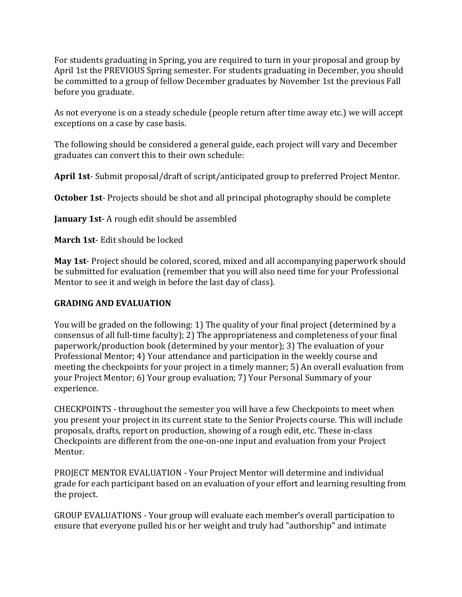For students graduating in Spring, you are required to turn in your proposal and group by April 1st the PREVIOUS Spring semester. For students graduating in December, you should be committed to a group of fellow December graduates by November 1st the previous Fall before you graduate.

 As not everyone is on a steady schedule (people return after time away etc.) we will accept exceptions on a case by case basis.

 The following should be considered a general guide, each project will vary and December graduates can convert this to their own schedule:

 **April 1st**- Submit proposal/draft of script/anticipated group to preferred Project Mentor.

 **October 1st**- Projects should be shot and all principal photography should be complete

**January 1st-A** rough edit should be assembled

**March 1st-** Edit should be locked

 **May 1st**- Project should be colored, scored, mixed and all accompanying paperwork should be submitted for evaluation (remember that you will also need time for your Professional Mentor to see it and weigh in before the last day of class).

#### **GRADING AND EVALUATION**

 You will be graded on the following: 1) The quality of your final project (determined by a consensus of all full-time faculty); 2) The appropriateness and completeness of your final paperwork/production book (determined by your mentor); 3) The evaluation of your meeting the checkpoints for your project in a timely manner; 5) An overall evaluation from your Project Mentor; 6) Your group evaluation; 7) Your Personal Summary of your Professional Mentor; 4) Your attendance and participation in the weekly course and experience.

 CHECKPOINTS - throughout the semester you will have a few Checkpoints to meet when Checkpoints are different from the one-on-one input and evaluation from your Project you present your project in its current state to the Senior Projects course. This will include proposals, drafts, report on production, showing of a rough edit, etc. These in-class Mentor.

 PROJECT MENTOR EVALUATION - Your Project Mentor will determine and individual grade for each participant based on an evaluation of your effort and learning resulting from the project.

 GROUP EVALUATIONS - Your group will evaluate each member's overall participation to ensure that everyone pulled his or her weight and truly had "authorship" and intimate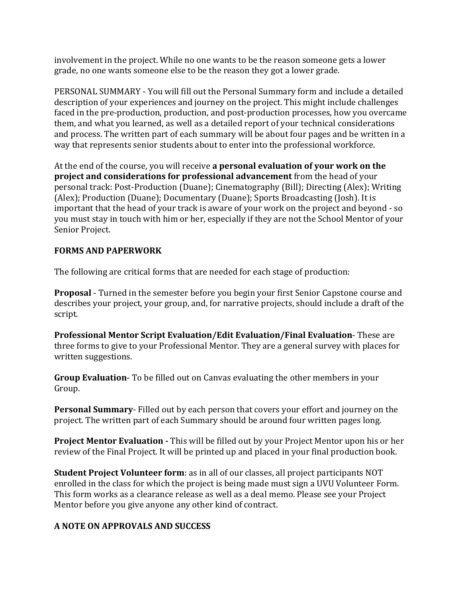involvement in the project. While no one wants to be the reason someone gets a lower grade, no one wants someone else to be the reason they got a lower grade.

PERSONAL SUMMARY - You will fill out the Personal Summary form and include a detailed description of your experiences and journey on the project. This might include challenges faced in the pre-production, production, and post-production processes, how you overcame them, and what you learned, as well as a detailed report of your technical considerations and process. The written part of each summary will be about four pages and be written in a way that represents senior students about to enter into the professional workforce.

  At the end of the course, you will receive **a personal evaluation of your work on the project and considerations for professional advancement** from the head of your personal track: Post-Production (Duane); Cinematography (Bill); Directing (Alex); Writing (Alex); Production (Duane); Documentary (Duane); Sports Broadcasting (Josh). It is important that the head of your track is aware of your work on the project and beyond - so you must stay in touch with him or her, especially if they are not the School Mentor of your Senior Project.

# **FORMS AND PAPERWORK**

The following are critical forms that are needed for each stage of production:

 **Proposal** - Turned in the semester before you begin your first Senior Capstone course and describes your project, your group, and, for narrative projects, should include a draft of the script.

**Professional Mentor Script Evaluation/Edit Evaluation/Final Evaluation-These are**  three forms to give to your Professional Mentor. They are a general survey with places for written suggestions.

**Group Evaluation**- To be filled out on Canvas evaluating the other members in your Group.

**Personal Summary**- Filled out by each person that covers your effort and journey on the project. The written part of each Summary should be around four written pages long.

review of the Final Project. It will be printed up and placed in your final production book. **Project Mentor Evaluation** - This will be filled out by your Project Mentor upon his or her

**Student Project Volunteer form**: as in all of our classes, all project participants NOT enrolled in the class for which the project is being made must sign a UVU Volunteer Form. This form works as a clearance release as well as a deal memo. Please see your Project Mentor before you give anyone any other kind of contract.

# **A NOTE ON APPROVALS AND SUCCESS**